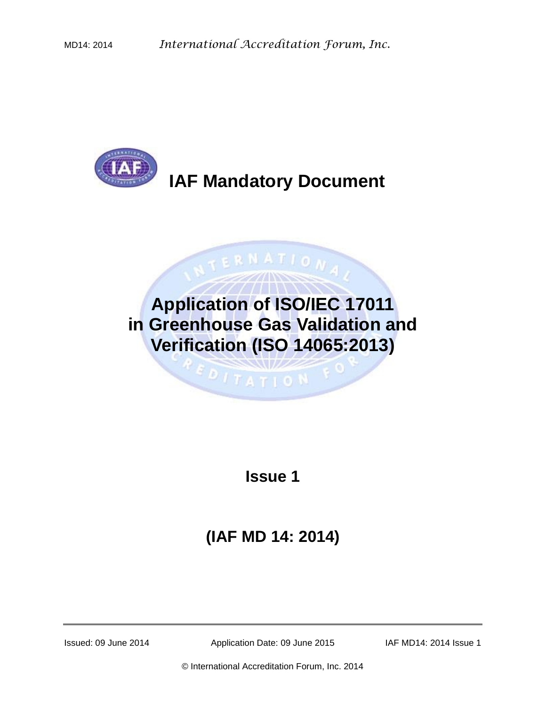

# **Application of ISO/IEC 17011 in Greenhouse Gas Validation and Verification (ISO 14065:2013)**

ATION

**Issue 1**

**(IAF MD 14: 2014)**

Issued: 09 June 2014 Application Date: 09 June 2015 IAF MD14: 2014 Issue 1

© International Accreditation Forum, Inc. 2014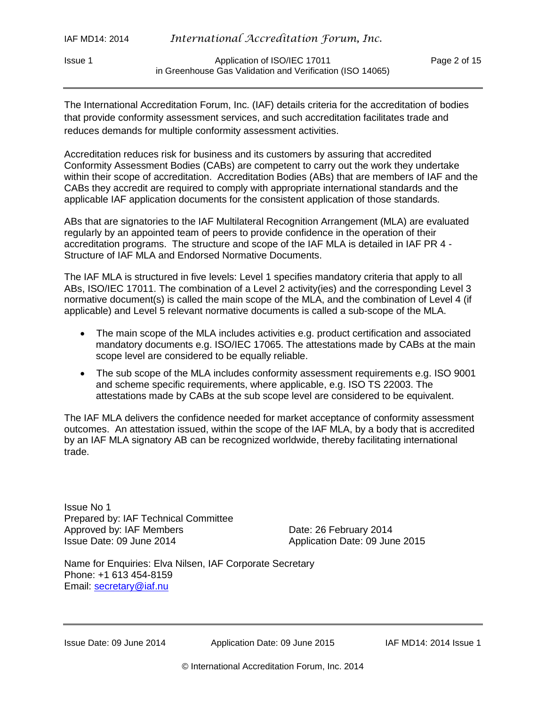Issue 1 Application of ISO/IEC 17011 Page 2 of 15 in Greenhouse Gas Validation and Verification (ISO 14065)

The International Accreditation Forum, Inc. (IAF) details criteria for the accreditation of bodies that provide conformity assessment services, and such accreditation facilitates trade and reduces demands for multiple conformity assessment activities.

Accreditation reduces risk for business and its customers by assuring that accredited Conformity Assessment Bodies (CABs) are competent to carry out the work they undertake within their scope of accreditation. Accreditation Bodies (ABs) that are members of IAF and the CABs they accredit are required to comply with appropriate international standards and the applicable IAF application documents for the consistent application of those standards.

ABs that are signatories to the IAF Multilateral Recognition Arrangement (MLA) are evaluated regularly by an appointed team of peers to provide confidence in the operation of their accreditation programs. The structure and scope of the IAF MLA is detailed in IAF PR 4 - Structure of IAF MLA and Endorsed Normative Documents.

The IAF MLA is structured in five levels: Level 1 specifies mandatory criteria that apply to all ABs, ISO/IEC 17011. The combination of a Level 2 activity(ies) and the corresponding Level 3 normative document(s) is called the main scope of the MLA, and the combination of Level 4 (if applicable) and Level 5 relevant normative documents is called a sub-scope of the MLA.

- The main scope of the MLA includes activities e.g. product certification and associated mandatory documents e.g. ISO/IEC 17065. The attestations made by CABs at the main scope level are considered to be equally reliable.
- The sub scope of the MLA includes conformity assessment requirements e.g. ISO 9001 and scheme specific requirements, where applicable, e.g. ISO TS 22003. The attestations made by CABs at the sub scope level are considered to be equivalent.

The IAF MLA delivers the confidence needed for market acceptance of conformity assessment outcomes. An attestation issued, within the scope of the IAF MLA, by a body that is accredited by an IAF MLA signatory AB can be recognized worldwide, thereby facilitating international trade.

Issue No 1 Prepared by: IAF Technical Committee Approved by: IAF Members Date: 26 February 2014 Issue Date: 09 June 2014 Application Date: 09 June 2015

Name for Enquiries: Elva Nilsen, IAF Corporate Secretary Phone: +1 613 454-8159 Email: [secretary@iaf.nu](mailto:secretary@iaf.nu)

Issue Date: 09 June 2014 Application Date: 09 June 2015 IAF MD14: 2014 Issue 1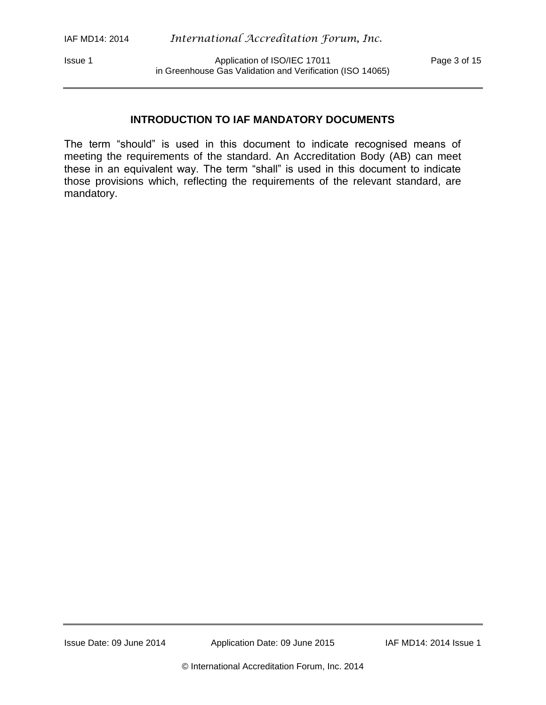Issue 1 **Application of ISO/IEC 17011** Page 3 of 15 in Greenhouse Gas Validation and Verification (ISO 14065)

# **INTRODUCTION TO IAF MANDATORY DOCUMENTS**

The term "should" is used in this document to indicate recognised means of meeting the requirements of the standard. An Accreditation Body (AB) can meet these in an equivalent way. The term "shall" is used in this document to indicate those provisions which, reflecting the requirements of the relevant standard, are mandatory.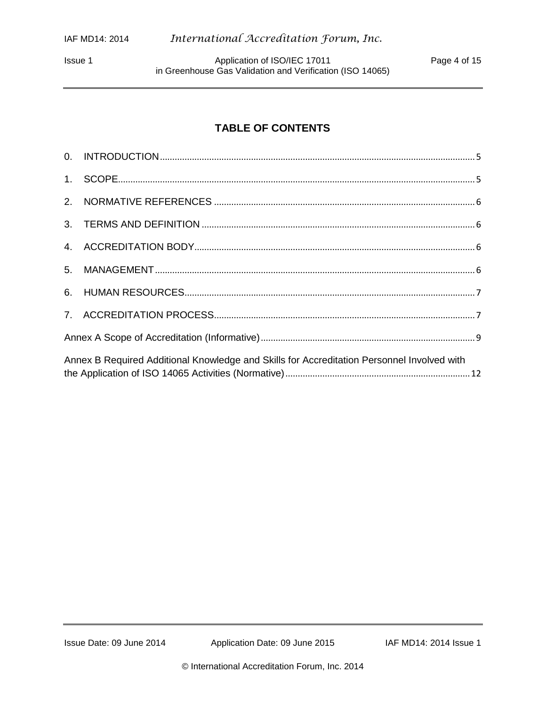Issue 1 **Application of ISO/IEC 17011** Page 4 of 15 in Greenhouse Gas Validation and Verification (ISO 14065)

# **TABLE OF CONTENTS**

| Annex B Required Additional Knowledge and Skills for Accreditation Personnel Involved with |  |  |  |  |  |  |
|--------------------------------------------------------------------------------------------|--|--|--|--|--|--|
|                                                                                            |  |  |  |  |  |  |
|                                                                                            |  |  |  |  |  |  |
|                                                                                            |  |  |  |  |  |  |
|                                                                                            |  |  |  |  |  |  |
|                                                                                            |  |  |  |  |  |  |
|                                                                                            |  |  |  |  |  |  |
|                                                                                            |  |  |  |  |  |  |
|                                                                                            |  |  |  |  |  |  |
|                                                                                            |  |  |  |  |  |  |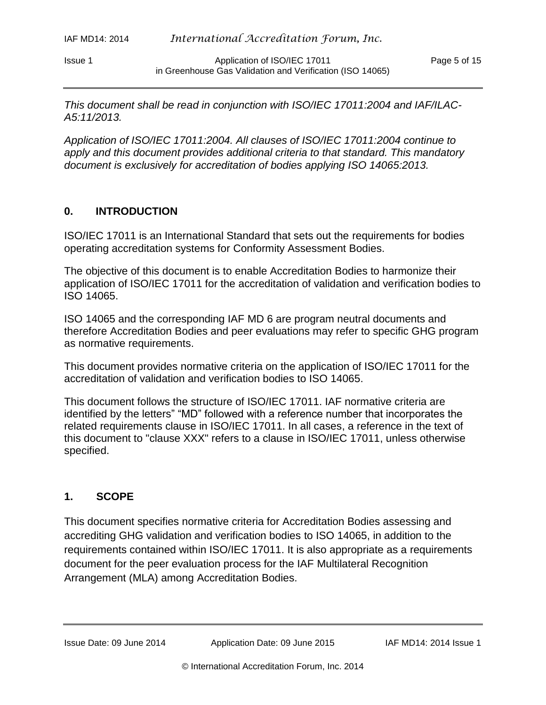Issue 1 Application of ISO/IEC 17011 Page 5 of 15 in Greenhouse Gas Validation and Verification (ISO 14065)

*This document shall be read in conjunction with ISO/IEC 17011:2004 and IAF/ILAC-A5:11/2013.*

*Application of ISO/IEC 17011:2004. All clauses of ISO/IEC 17011:2004 continue to apply and this document provides additional criteria to that standard. This mandatory document is exclusively for accreditation of bodies applying ISO 14065:2013.*

#### <span id="page-4-0"></span>**0. INTRODUCTION**

ISO/IEC 17011 is an International Standard that sets out the requirements for bodies operating accreditation systems for Conformity Assessment Bodies.

The objective of this document is to enable Accreditation Bodies to harmonize their application of ISO/IEC 17011 for the accreditation of validation and verification bodies to ISO 14065.

ISO 14065 and the corresponding IAF MD 6 are program neutral documents and therefore Accreditation Bodies and peer evaluations may refer to specific GHG program as normative requirements.

This document provides normative criteria on the application of ISO/IEC 17011 for the accreditation of validation and verification bodies to ISO 14065.

This document follows the structure of ISO/IEC 17011. IAF normative criteria are identified by the letters" "MD" followed with a reference number that incorporates the related requirements clause in ISO/IEC 17011. In all cases, a reference in the text of this document to "clause XXX" refers to a clause in ISO/IEC 17011, unless otherwise specified.

#### <span id="page-4-1"></span>**1. SCOPE**

This document specifies normative criteria for Accreditation Bodies assessing and accrediting GHG validation and verification bodies to ISO 14065, in addition to the requirements contained within ISO/IEC 17011. It is also appropriate as a requirements document for the peer evaluation process for the IAF Multilateral Recognition Arrangement (MLA) among Accreditation Bodies.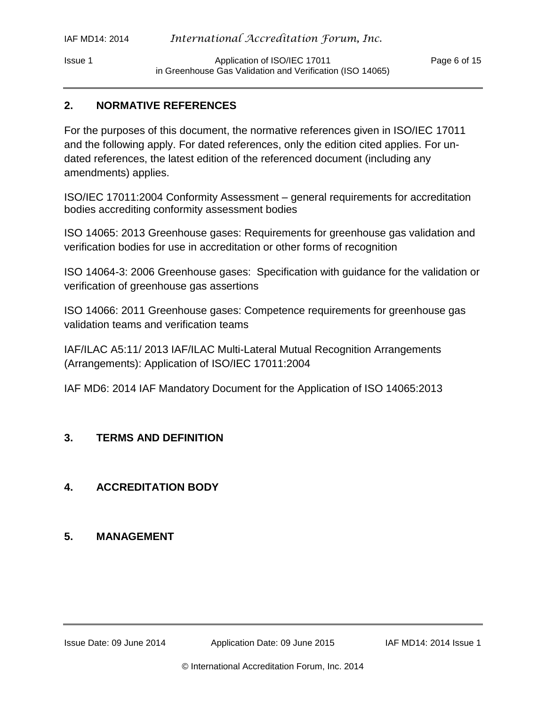Issue 1 Application of ISO/IEC 17011 Page 6 of 15 in Greenhouse Gas Validation and Verification (ISO 14065)

# <span id="page-5-0"></span>**2. NORMATIVE REFERENCES**

For the purposes of this document, the normative references given in ISO/IEC 17011 and the following apply. For dated references, only the edition cited applies. For undated references, the latest edition of the referenced document (including any amendments) applies.

ISO/IEC 17011:2004 Conformity Assessment – general requirements for accreditation bodies accrediting conformity assessment bodies

ISO 14065: 2013 Greenhouse gases: Requirements for greenhouse gas validation and verification bodies for use in accreditation or other forms of recognition

ISO 14064-3: 2006 Greenhouse gases: Specification with guidance for the validation or verification of greenhouse gas assertions

ISO 14066: 2011 Greenhouse gases: Competence requirements for greenhouse gas validation teams and verification teams

IAF/ILAC A5:11/ 2013 IAF/ILAC Multi-Lateral Mutual Recognition Arrangements (Arrangements): Application of ISO/IEC 17011:2004

IAF MD6: 2014 IAF Mandatory Document for the Application of ISO 14065:2013

# <span id="page-5-1"></span>**3. TERMS AND DEFINITION**

# <span id="page-5-2"></span>**4. ACCREDITATION BODY**

# <span id="page-5-3"></span>**5. MANAGEMENT**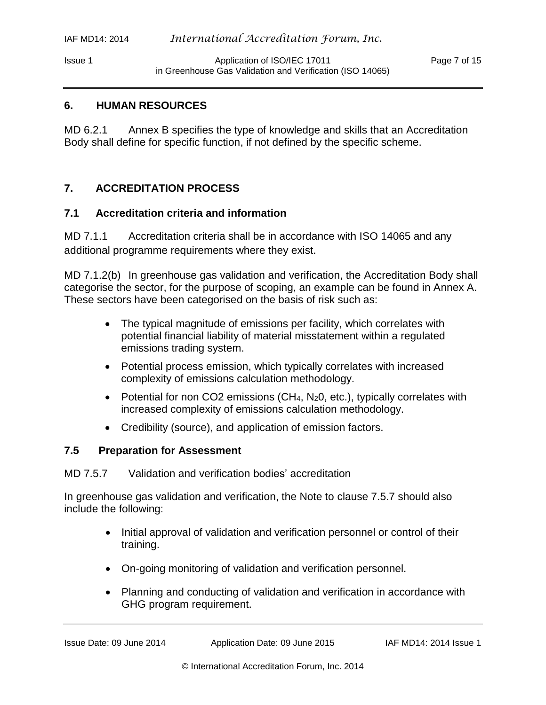Issue 1 Application of ISO/IEC 17011 Page 7 of 15 in Greenhouse Gas Validation and Verification (ISO 14065)

#### <span id="page-6-0"></span>**6. HUMAN RESOURCES**

MD 6.2.1 Annex B specifies the type of knowledge and skills that an Accreditation Body shall define for specific function, if not defined by the specific scheme.

#### <span id="page-6-1"></span>**7. ACCREDITATION PROCESS**

#### **7.1 Accreditation criteria and information**

MD 7.1.1 Accreditation criteria shall be in accordance with ISO 14065 and any additional programme requirements where they exist.

MD 7.1.2(b) In greenhouse gas validation and verification, the Accreditation Body shall categorise the sector, for the purpose of scoping, an example can be found in Annex A. These sectors have been categorised on the basis of risk such as:

- The typical magnitude of emissions per facility, which correlates with potential financial liability of material misstatement within a regulated emissions trading system.
- Potential process emission, which typically correlates with increased complexity of emissions calculation methodology.
- Potential for non CO2 emissions (CH<sub>4</sub>, N<sub>2</sub>0, etc.), typically correlates with increased complexity of emissions calculation methodology.
- Credibility (source), and application of emission factors.

#### **7.5 Preparation for Assessment**

MD 7.5.7 Validation and verification bodies' accreditation

In greenhouse gas validation and verification, the Note to clause 7.5.7 should also include the following:

- Initial approval of validation and verification personnel or control of their training.
- On-going monitoring of validation and verification personnel.
- Planning and conducting of validation and verification in accordance with GHG program requirement.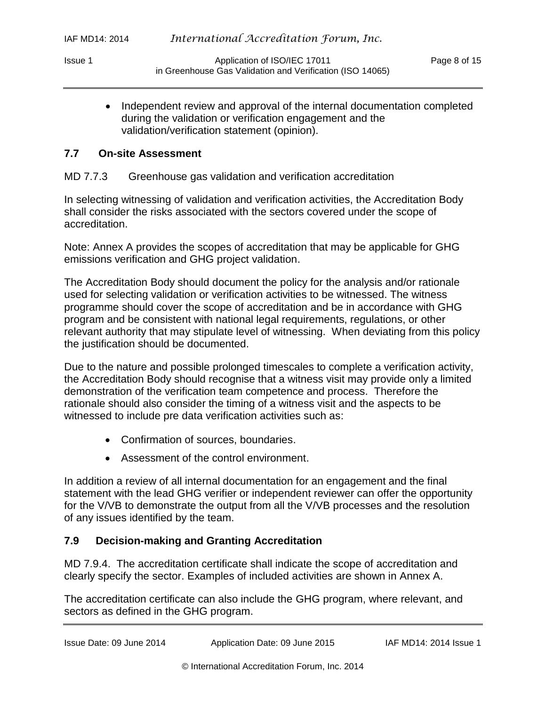• Independent review and approval of the internal documentation completed during the validation or verification engagement and the validation/verification statement (opinion).

## **7.7 On-site Assessment**

## MD 7.7.3 Greenhouse gas validation and verification accreditation

In selecting witnessing of validation and verification activities, the Accreditation Body shall consider the risks associated with the sectors covered under the scope of accreditation.

Note: Annex A provides the scopes of accreditation that may be applicable for GHG emissions verification and GHG project validation.

The Accreditation Body should document the policy for the analysis and/or rationale used for selecting validation or verification activities to be witnessed. The witness programme should cover the scope of accreditation and be in accordance with GHG program and be consistent with national legal requirements, regulations, or other relevant authority that may stipulate level of witnessing. When deviating from this policy the justification should be documented.

Due to the nature and possible prolonged timescales to complete a verification activity, the Accreditation Body should recognise that a witness visit may provide only a limited demonstration of the verification team competence and process. Therefore the rationale should also consider the timing of a witness visit and the aspects to be witnessed to include pre data verification activities such as:

- Confirmation of sources, boundaries.
- Assessment of the control environment.

In addition a review of all internal documentation for an engagement and the final statement with the lead GHG verifier or independent reviewer can offer the opportunity for the V/VB to demonstrate the output from all the V/VB processes and the resolution of any issues identified by the team.

# **7.9 Decision-making and Granting Accreditation**

MD 7.9.4. The accreditation certificate shall indicate the scope of accreditation and clearly specify the sector. Examples of included activities are shown in Annex A.

<span id="page-7-0"></span>The accreditation certificate can also include the GHG program, where relevant, and sectors as defined in the GHG program.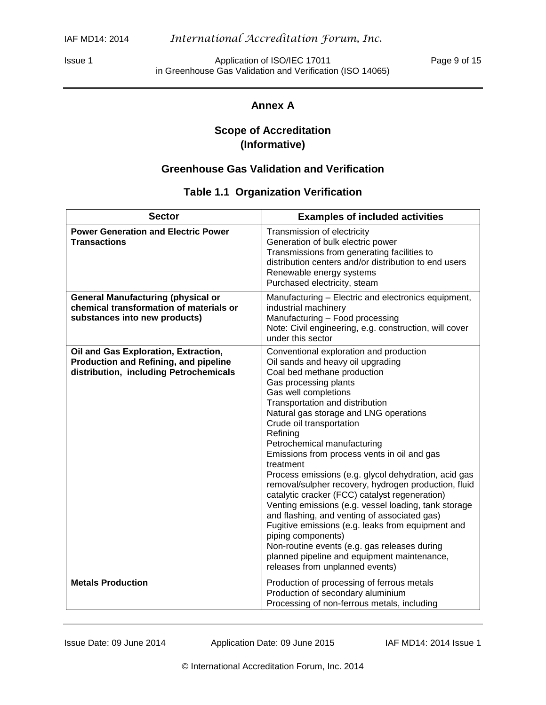Issue 1 **Application of ISO/IEC 17011** Page 9 of 15 in Greenhouse Gas Validation and Verification (ISO 14065)

# **Annex A**

# **Scope of Accreditation (Informative)**

# **Greenhouse Gas Validation and Verification**

# **Table 1.1 Organization Verification**

| <b>Sector</b>                                                                                                           | <b>Examples of included activities</b>                                                                                                                                                                                                                                                                                                                                                                                                                                                                                                                                                                                                                                                                                                                                                                                                                              |
|-------------------------------------------------------------------------------------------------------------------------|---------------------------------------------------------------------------------------------------------------------------------------------------------------------------------------------------------------------------------------------------------------------------------------------------------------------------------------------------------------------------------------------------------------------------------------------------------------------------------------------------------------------------------------------------------------------------------------------------------------------------------------------------------------------------------------------------------------------------------------------------------------------------------------------------------------------------------------------------------------------|
| <b>Power Generation and Electric Power</b><br><b>Transactions</b>                                                       | Transmission of electricity<br>Generation of bulk electric power<br>Transmissions from generating facilities to<br>distribution centers and/or distribution to end users<br>Renewable energy systems<br>Purchased electricity, steam                                                                                                                                                                                                                                                                                                                                                                                                                                                                                                                                                                                                                                |
| <b>General Manufacturing (physical or</b><br>chemical transformation of materials or<br>substances into new products)   | Manufacturing - Electric and electronics equipment,<br>industrial machinery<br>Manufacturing - Food processing<br>Note: Civil engineering, e.g. construction, will cover<br>under this sector                                                                                                                                                                                                                                                                                                                                                                                                                                                                                                                                                                                                                                                                       |
| Oil and Gas Exploration, Extraction,<br>Production and Refining, and pipeline<br>distribution, including Petrochemicals | Conventional exploration and production<br>Oil sands and heavy oil upgrading<br>Coal bed methane production<br>Gas processing plants<br>Gas well completions<br>Transportation and distribution<br>Natural gas storage and LNG operations<br>Crude oil transportation<br>Refining<br>Petrochemical manufacturing<br>Emissions from process vents in oil and gas<br>treatment<br>Process emissions (e.g. glycol dehydration, acid gas<br>removal/sulpher recovery, hydrogen production, fluid<br>catalytic cracker (FCC) catalyst regeneration)<br>Venting emissions (e.g. vessel loading, tank storage<br>and flashing, and venting of associated gas)<br>Fugitive emissions (e.g. leaks from equipment and<br>piping components)<br>Non-routine events (e.g. gas releases during<br>planned pipeline and equipment maintenance,<br>releases from unplanned events) |
| <b>Metals Production</b>                                                                                                | Production of processing of ferrous metals<br>Production of secondary aluminium<br>Processing of non-ferrous metals, including                                                                                                                                                                                                                                                                                                                                                                                                                                                                                                                                                                                                                                                                                                                                      |

Issue Date: 09 June 2014 Application Date: 09 June 2015 IAF MD14: 2014 Issue 1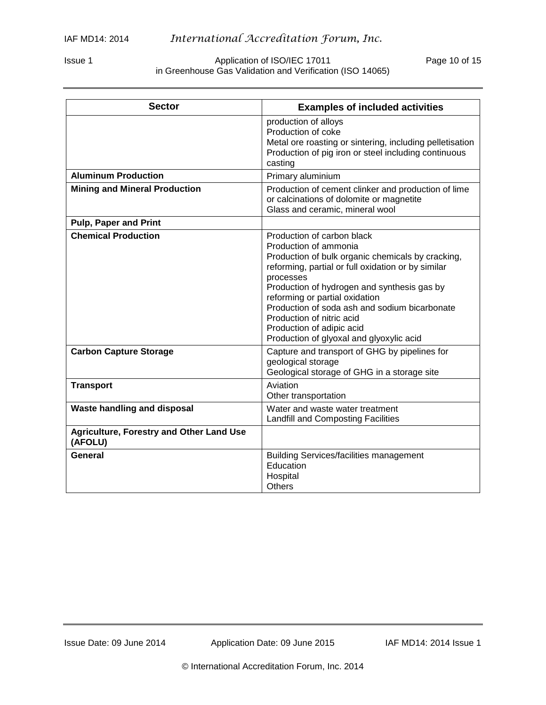#### Issue 1 Application of ISO/IEC 17011 Page 10 of 15 in Greenhouse Gas Validation and Verification (ISO 14065)

| <b>Sector</b>                                              | <b>Examples of included activities</b>                                                                                                                                                                                                                                                                                                                                                                              |
|------------------------------------------------------------|---------------------------------------------------------------------------------------------------------------------------------------------------------------------------------------------------------------------------------------------------------------------------------------------------------------------------------------------------------------------------------------------------------------------|
|                                                            | production of alloys<br>Production of coke<br>Metal ore roasting or sintering, including pelletisation<br>Production of pig iron or steel including continuous<br>casting                                                                                                                                                                                                                                           |
| <b>Aluminum Production</b>                                 | Primary aluminium                                                                                                                                                                                                                                                                                                                                                                                                   |
| <b>Mining and Mineral Production</b>                       | Production of cement clinker and production of lime<br>or calcinations of dolomite or magnetite<br>Glass and ceramic, mineral wool                                                                                                                                                                                                                                                                                  |
| <b>Pulp, Paper and Print</b>                               |                                                                                                                                                                                                                                                                                                                                                                                                                     |
| <b>Chemical Production</b>                                 | Production of carbon black<br>Production of ammonia<br>Production of bulk organic chemicals by cracking,<br>reforming, partial or full oxidation or by similar<br>processes<br>Production of hydrogen and synthesis gas by<br>reforming or partial oxidation<br>Production of soda ash and sodium bicarbonate<br>Production of nitric acid<br>Production of adipic acid<br>Production of glyoxal and glyoxylic acid |
| <b>Carbon Capture Storage</b>                              | Capture and transport of GHG by pipelines for<br>geological storage<br>Geological storage of GHG in a storage site                                                                                                                                                                                                                                                                                                  |
| <b>Transport</b>                                           | Aviation<br>Other transportation                                                                                                                                                                                                                                                                                                                                                                                    |
| <b>Waste handling and disposal</b>                         | Water and waste water treatment<br><b>Landfill and Composting Facilities</b>                                                                                                                                                                                                                                                                                                                                        |
| <b>Agriculture, Forestry and Other Land Use</b><br>(AFOLU) |                                                                                                                                                                                                                                                                                                                                                                                                                     |
| General                                                    | <b>Building Services/facilities management</b><br>Education<br>Hospital<br><b>Others</b>                                                                                                                                                                                                                                                                                                                            |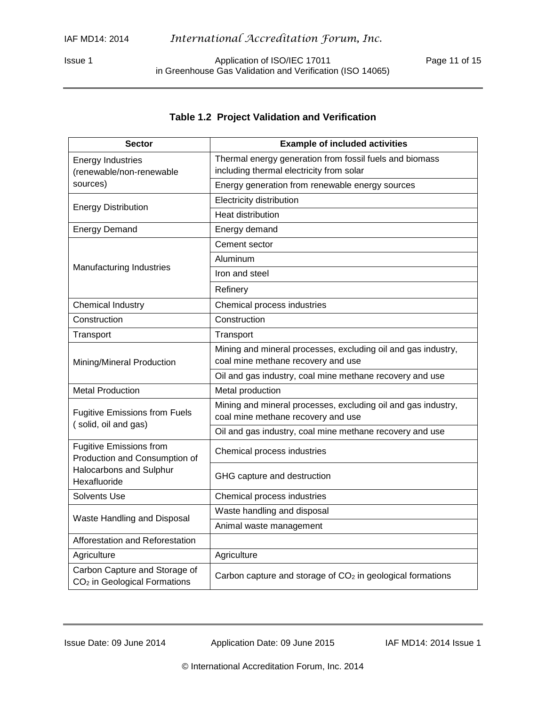Issue 1 **Application of ISO/IEC 17011** Page 11 of 15 in Greenhouse Gas Validation and Verification (ISO 14065)

### **Table 1.2 Project Validation and Verification**

| <b>Sector</b>                                                                                                                                                                                                                                                                                                                                                                                                                                                        | <b>Example of included activities</b>                                                               |  |  |  |
|----------------------------------------------------------------------------------------------------------------------------------------------------------------------------------------------------------------------------------------------------------------------------------------------------------------------------------------------------------------------------------------------------------------------------------------------------------------------|-----------------------------------------------------------------------------------------------------|--|--|--|
| <b>Energy Industries</b>                                                                                                                                                                                                                                                                                                                                                                                                                                             | Thermal energy generation from fossil fuels and biomass                                             |  |  |  |
| (renewable/non-renewable<br>sources)<br><b>Energy Distribution</b><br><b>Energy Demand</b><br>Manufacturing Industries<br><b>Chemical Industry</b><br>Construction<br>Transport<br>Mining/Mineral Production<br><b>Metal Production</b><br><b>Fugitive Emissions from Fuels</b><br>(solid, oil and gas)<br><b>Fugitive Emissions from</b><br>Production and Consumption of<br>Halocarbons and Sulphur<br>Hexafluoride<br>Solvents Use<br>Waste Handling and Disposal | including thermal electricity from solar                                                            |  |  |  |
|                                                                                                                                                                                                                                                                                                                                                                                                                                                                      | Energy generation from renewable energy sources                                                     |  |  |  |
|                                                                                                                                                                                                                                                                                                                                                                                                                                                                      | Electricity distribution                                                                            |  |  |  |
|                                                                                                                                                                                                                                                                                                                                                                                                                                                                      | Heat distribution                                                                                   |  |  |  |
|                                                                                                                                                                                                                                                                                                                                                                                                                                                                      | Energy demand                                                                                       |  |  |  |
|                                                                                                                                                                                                                                                                                                                                                                                                                                                                      | Cement sector                                                                                       |  |  |  |
|                                                                                                                                                                                                                                                                                                                                                                                                                                                                      | Aluminum                                                                                            |  |  |  |
|                                                                                                                                                                                                                                                                                                                                                                                                                                                                      | Iron and steel                                                                                      |  |  |  |
|                                                                                                                                                                                                                                                                                                                                                                                                                                                                      | Refinery                                                                                            |  |  |  |
|                                                                                                                                                                                                                                                                                                                                                                                                                                                                      | Chemical process industries                                                                         |  |  |  |
|                                                                                                                                                                                                                                                                                                                                                                                                                                                                      | Construction                                                                                        |  |  |  |
|                                                                                                                                                                                                                                                                                                                                                                                                                                                                      | Transport                                                                                           |  |  |  |
|                                                                                                                                                                                                                                                                                                                                                                                                                                                                      | Mining and mineral processes, excluding oil and gas industry,<br>coal mine methane recovery and use |  |  |  |
|                                                                                                                                                                                                                                                                                                                                                                                                                                                                      | Oil and gas industry, coal mine methane recovery and use                                            |  |  |  |
|                                                                                                                                                                                                                                                                                                                                                                                                                                                                      | Metal production                                                                                    |  |  |  |
|                                                                                                                                                                                                                                                                                                                                                                                                                                                                      | Mining and mineral processes, excluding oil and gas industry,<br>coal mine methane recovery and use |  |  |  |
|                                                                                                                                                                                                                                                                                                                                                                                                                                                                      | Oil and gas industry, coal mine methane recovery and use                                            |  |  |  |
|                                                                                                                                                                                                                                                                                                                                                                                                                                                                      | Chemical process industries                                                                         |  |  |  |
|                                                                                                                                                                                                                                                                                                                                                                                                                                                                      | GHG capture and destruction                                                                         |  |  |  |
|                                                                                                                                                                                                                                                                                                                                                                                                                                                                      | Chemical process industries                                                                         |  |  |  |
|                                                                                                                                                                                                                                                                                                                                                                                                                                                                      | Waste handling and disposal                                                                         |  |  |  |
|                                                                                                                                                                                                                                                                                                                                                                                                                                                                      | Animal waste management                                                                             |  |  |  |
| Afforestation and Reforestation                                                                                                                                                                                                                                                                                                                                                                                                                                      |                                                                                                     |  |  |  |
| Agriculture                                                                                                                                                                                                                                                                                                                                                                                                                                                          | Agriculture                                                                                         |  |  |  |
| Carbon Capture and Storage of<br>CO <sub>2</sub> in Geological Formations                                                                                                                                                                                                                                                                                                                                                                                            | Carbon capture and storage of $CO2$ in geological formations                                        |  |  |  |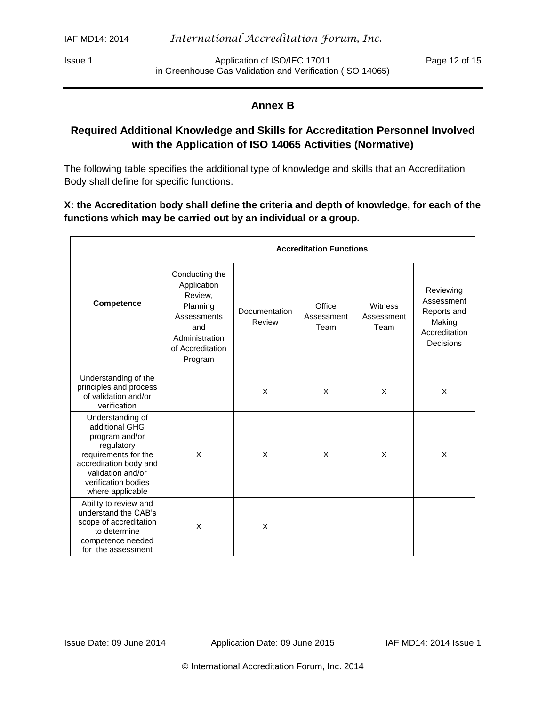Issue 1 **Application of ISO/IEC 17011** Page 12 of 15 in Greenhouse Gas Validation and Verification (ISO 14065)

#### **Annex B**

# <span id="page-11-0"></span>**Required Additional Knowledge and Skills for Accreditation Personnel Involved with the Application of ISO 14065 Activities (Normative)**

The following table specifies the additional type of knowledge and skills that an Accreditation Body shall define for specific functions.

**X: the Accreditation body shall define the criteria and depth of knowledge, for each of the functions which may be carried out by an individual or a group.** 

|                                                                                                                                                                                      | <b>Accreditation Functions</b>                                                                                              |                         |                              |                               |                                                                                |  |
|--------------------------------------------------------------------------------------------------------------------------------------------------------------------------------------|-----------------------------------------------------------------------------------------------------------------------------|-------------------------|------------------------------|-------------------------------|--------------------------------------------------------------------------------|--|
| Competence                                                                                                                                                                           | Conducting the<br>Application<br>Review,<br>Planning<br>Assessments<br>and<br>Administration<br>of Accreditation<br>Program | Documentation<br>Review | Office<br>Assessment<br>Team | Witness<br>Assessment<br>Team | Reviewing<br>Assessment<br>Reports and<br>Making<br>Accreditation<br>Decisions |  |
| Understanding of the<br>principles and process<br>of validation and/or<br>verification                                                                                               |                                                                                                                             | X                       | X                            | X                             | X                                                                              |  |
| Understanding of<br>additional GHG<br>program and/or<br>regulatory<br>requirements for the<br>accreditation body and<br>validation and/or<br>verification bodies<br>where applicable | X                                                                                                                           | X                       | X                            | X                             | X                                                                              |  |
| Ability to review and<br>understand the CAB's<br>scope of accreditation<br>to determine<br>competence needed<br>for the assessment                                                   | X                                                                                                                           | X                       |                              |                               |                                                                                |  |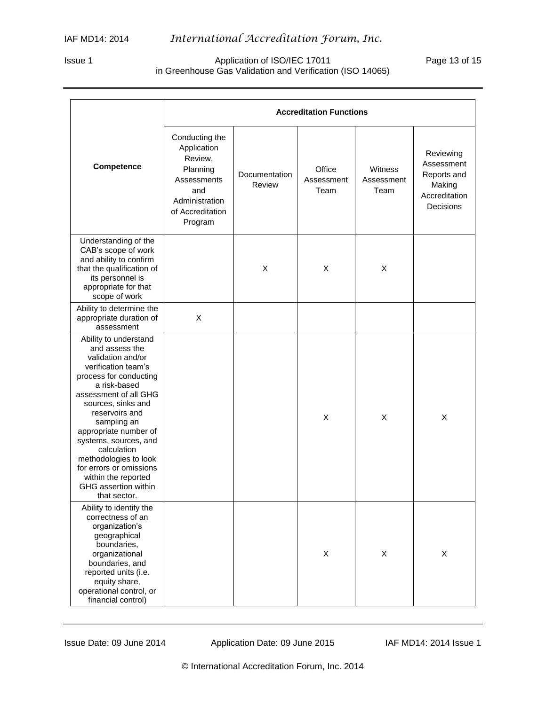#### Issue 1 Application of ISO/IEC 17011 Page 13 of 15 in Greenhouse Gas Validation and Verification (ISO 14065)

|                                                                                                                                                                                                                                                                                                                                                                                                   | <b>Accreditation Functions</b>                                                                                              |                         |                              |                               |                                                                                |
|---------------------------------------------------------------------------------------------------------------------------------------------------------------------------------------------------------------------------------------------------------------------------------------------------------------------------------------------------------------------------------------------------|-----------------------------------------------------------------------------------------------------------------------------|-------------------------|------------------------------|-------------------------------|--------------------------------------------------------------------------------|
| Competence                                                                                                                                                                                                                                                                                                                                                                                        | Conducting the<br>Application<br>Review,<br>Planning<br>Assessments<br>and<br>Administration<br>of Accreditation<br>Program | Documentation<br>Review | Office<br>Assessment<br>Team | Witness<br>Assessment<br>Team | Reviewing<br>Assessment<br>Reports and<br>Making<br>Accreditation<br>Decisions |
| Understanding of the<br>CAB's scope of work<br>and ability to confirm<br>that the qualification of<br>its personnel is<br>appropriate for that<br>scope of work                                                                                                                                                                                                                                   |                                                                                                                             | X                       | X                            | X                             |                                                                                |
| Ability to determine the<br>appropriate duration of<br>assessment                                                                                                                                                                                                                                                                                                                                 | X                                                                                                                           |                         |                              |                               |                                                                                |
| Ability to understand<br>and assess the<br>validation and/or<br>verification team's<br>process for conducting<br>a risk-based<br>assessment of all GHG<br>sources, sinks and<br>reservoirs and<br>sampling an<br>appropriate number of<br>systems, sources, and<br>calculation<br>methodologies to look<br>for errors or omissions<br>within the reported<br>GHG assertion within<br>that sector. |                                                                                                                             |                         | X                            | X                             | X                                                                              |
| Ability to identify the<br>correctness of an<br>organization's<br>geographical<br>boundaries,<br>organizational<br>boundaries, and<br>reported units (i.e.<br>equity share,<br>operational control, or<br>financial control)                                                                                                                                                                      |                                                                                                                             |                         | X                            | $\pmb{\times}$                | X                                                                              |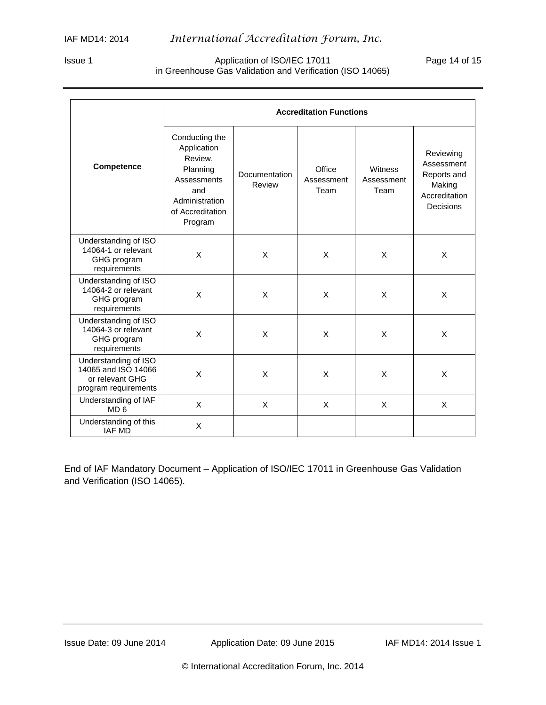#### Issue 1 **Application of ISO/IEC 17011** Page 14 of 15 in Greenhouse Gas Validation and Verification (ISO 14065)

|                                                                                        | <b>Accreditation Functions</b>                                                                                              |                         |                              |                               |                                                                                |  |
|----------------------------------------------------------------------------------------|-----------------------------------------------------------------------------------------------------------------------------|-------------------------|------------------------------|-------------------------------|--------------------------------------------------------------------------------|--|
| Competence                                                                             | Conducting the<br>Application<br>Review,<br>Planning<br>Assessments<br>and<br>Administration<br>of Accreditation<br>Program | Documentation<br>Review | Office<br>Assessment<br>Team | Witness<br>Assessment<br>Team | Reviewing<br>Assessment<br>Reports and<br>Making<br>Accreditation<br>Decisions |  |
| Understanding of ISO<br>14064-1 or relevant<br>GHG program<br>requirements             | X                                                                                                                           | X                       | X                            | X                             | X                                                                              |  |
| Understanding of ISO<br>14064-2 or relevant<br>GHG program<br>requirements             | X                                                                                                                           | X                       | X                            | X                             | X                                                                              |  |
| Understanding of ISO<br>14064-3 or relevant<br>GHG program<br>requirements             | X                                                                                                                           | X                       | X                            | X                             | X                                                                              |  |
| Understanding of ISO<br>14065 and ISO 14066<br>or relevant GHG<br>program requirements | X                                                                                                                           | X                       | X                            | X                             | X                                                                              |  |
| Understanding of IAF<br>MD <sub>6</sub>                                                | X                                                                                                                           | X                       | X                            | X                             | X                                                                              |  |
| Understanding of this<br><b>IAF MD</b>                                                 | X                                                                                                                           |                         |                              |                               |                                                                                |  |

End of IAF Mandatory Document – Application of ISO/IEC 17011 in Greenhouse Gas Validation and Verification (ISO 14065).